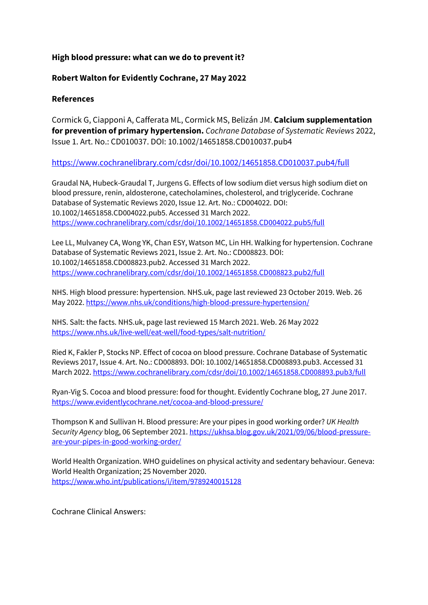## **High blood pressure: what can we do to prevent it?**

## **Robert Walton for Evidently Cochrane, 27 May 2022**

## **References**

Cormick G, Ciapponi A, Cafferata ML, Cormick MS, Belizán JM. **Calcium supplementation for prevention of primary hypertension.** *Cochrane Database of Systematic Reviews* 2022, Issue 1. Art. No.: CD010037. DOI: 10.1002/14651858.CD010037.pub4

## https://www.cochranelibrary.com/cdsr/doi/10.1002/14651858.CD010037.pub4/full

Graudal NA, Hubeck-Graudal T, Jurgens G. Effects of low sodium diet versus high sodium diet on blood pressure, renin, aldosterone, catecholamines, cholesterol, and triglyceride. Cochrane Database of Systematic Reviews 2020, Issue 12. Art. No.: CD004022. DOI: 10.1002/14651858.CD004022.pub5. Accessed 31 March 2022. https://www.cochranelibrary.com/cdsr/doi/10.1002/14651858.CD004022.pub5/full

Lee LL, Mulvaney CA, Wong YK, Chan ESY, Watson MC, Lin HH. Walking for hypertension. Cochrane Database of Systematic Reviews 2021, Issue 2. Art. No.: CD008823. DOI: 10.1002/14651858.CD008823.pub2. Accessed 31 March 2022. https://www.cochranelibrary.com/cdsr/doi/10.1002/14651858.CD008823.pub2/full

NHS. High blood pressure: hypertension. NHS.uk, page last reviewed 23 October 2019. Web. 26 May 2022. https://www.nhs.uk/conditions/high-blood-pressure-hypertension/

NHS. Salt: the facts. NHS.uk, page last reviewed 15 March 2021. Web. 26 May 2022 https://www.nhs.uk/live-well/eat-well/food-types/salt-nutrition/

Ried K, Fakler P, Stocks NP. Effect of cocoa on blood pressure. Cochrane Database of Systematic Reviews 2017, Issue 4. Art. No.: CD008893. DOI: 10.1002/14651858.CD008893.pub3. Accessed 31 March 2022. https://www.cochranelibrary.com/cdsr/doi/10.1002/14651858.CD008893.pub3/full

Ryan-Vig S. Cocoa and blood pressure: food for thought. Evidently Cochrane blog, 27 June 2017. https://www.evidentlycochrane.net/cocoa-and-blood-pressure/

Thompson K and Sullivan H. Blood pressure: Are your pipes in good working order? *UK Health Security Agency* blog, 06 September 2021. https://ukhsa.blog.gov.uk/2021/09/06/blood-pressureare-your-pipes-in-good-working-order/

World Health Organization. WHO guidelines on physical activity and sedentary behaviour. Geneva: World Health Organization; 25 November 2020. https://www.who.int/publications/i/item/9789240015128

Cochrane Clinical Answers: